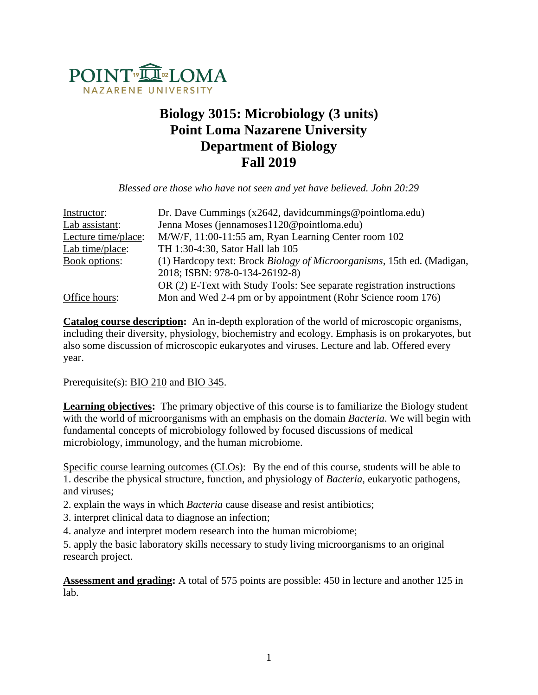

# **Biology 3015: Microbiology (3 units) Point Loma Nazarene University Department of Biology Fall 2019**

*Blessed are those who have not seen and yet have believed. John 20:29*

| Instructor:         | Dr. Dave Cummings ( $x2642$ , davidcummings@pointloma.edu)             |
|---------------------|------------------------------------------------------------------------|
| Lab assistant:      | Jenna Moses (jennamoses 1120@pointloma.edu)                            |
| Lecture time/place: | M/W/F, 11:00-11:55 am, Ryan Learning Center room 102                   |
| Lab time/place:     | TH 1:30-4:30, Sator Hall lab 105                                       |
| Book options:       | (1) Hardcopy text: Brock Biology of Microorganisms, 15th ed. (Madigan, |
|                     | 2018; ISBN: 978-0-134-26192-8)                                         |
|                     | OR (2) E-Text with Study Tools: See separate registration instructions |
| Office hours:       | Mon and Wed 2-4 pm or by appointment (Rohr Science room 176)           |

**Catalog course description:** An in-depth exploration of the world of microscopic organisms, including their diversity, physiology, biochemistry and ecology. Emphasis is on prokaryotes, but also some discussion of microscopic eukaryotes and viruses. Lecture and lab. Offered every year.

Prerequisite(s): [BIO 210](http://catalog.pointloma.edu/preview_program.php?catoid=14&poid=620&returnto=1095#tt402) and [BIO 345.](http://catalog.pointloma.edu/preview_program.php?catoid=14&poid=620&returnto=1095#tt1229)

**Learning objectives:** The primary objective of this course is to familiarize the Biology student with the world of microorganisms with an emphasis on the domain *Bacteria*. We will begin with fundamental concepts of microbiology followed by focused discussions of medical microbiology, immunology, and the human microbiome.

Specific course learning outcomes (CLOs): By the end of this course, students will be able to 1. describe the physical structure, function, and physiology of *Bacteria*, eukaryotic pathogens, and viruses;

2. explain the ways in which *Bacteria* cause disease and resist antibiotics;

3. interpret clinical data to diagnose an infection;

4. analyze and interpret modern research into the human microbiome;

5. apply the basic laboratory skills necessary to study living microorganisms to an original research project.

**Assessment and grading:** A total of 575 points are possible: 450 in lecture and another 125 in lab.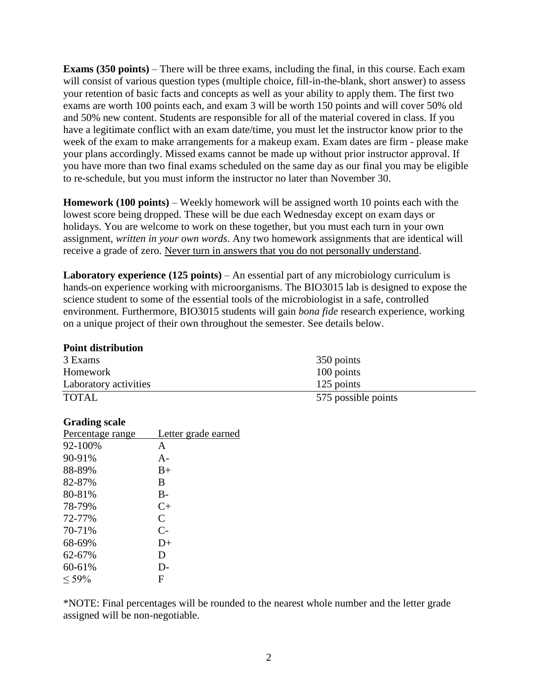**Exams (350 points)** – There will be three exams, including the final, in this course. Each exam will consist of various question types (multiple choice, fill-in-the-blank, short answer) to assess your retention of basic facts and concepts as well as your ability to apply them. The first two exams are worth 100 points each, and exam 3 will be worth 150 points and will cover 50% old and 50% new content. Students are responsible for all of the material covered in class. If you have a legitimate conflict with an exam date/time, you must let the instructor know prior to the week of the exam to make arrangements for a makeup exam. Exam dates are firm - please make your plans accordingly. Missed exams cannot be made up without prior instructor approval. If you have more than two final exams scheduled on the same day as our final you may be eligible to re-schedule, but you must inform the instructor no later than November 30.

**Homework (100 points)** – Weekly homework will be assigned worth 10 points each with the lowest score being dropped. These will be due each Wednesday except on exam days or holidays. You are welcome to work on these together, but you must each turn in your own assignment, *written in your own words*. Any two homework assignments that are identical will receive a grade of zero. Never turn in answers that you do not personally understand.

Laboratory experience (125 points) – An essential part of any microbiology curriculum is hands-on experience working with microorganisms. The BIO3015 lab is designed to expose the science student to some of the essential tools of the microbiologist in a safe, controlled environment. Furthermore, BIO3015 students will gain *bona fide* research experience, working on a unique project of their own throughout the semester. See details below.

### **Point distribution**

| 3 Exams               | 350 points          |
|-----------------------|---------------------|
| Homework              | 100 points          |
| Laboratory activities | 125 points          |
| <b>TOTAL</b>          | 575 possible points |

## **Grading scale**

| Percentage range | Letter grade earned |
|------------------|---------------------|
| 92-100%          | A                   |
| 90-91%           | $A-$                |
| 88-89%           | $B+$                |
| 82-87%           | B                   |
| 80-81%           | $B -$               |
| 78-79%           | $C+$                |
| 72-77%           | $\overline{C}$      |
| 70-71%           | $C-$                |
| 68-69%           | $D+$                |
| 62-67%           | D                   |
| 60-61%           | D-                  |
| $< 59\%$         | F                   |

\*NOTE: Final percentages will be rounded to the nearest whole number and the letter grade assigned will be non-negotiable.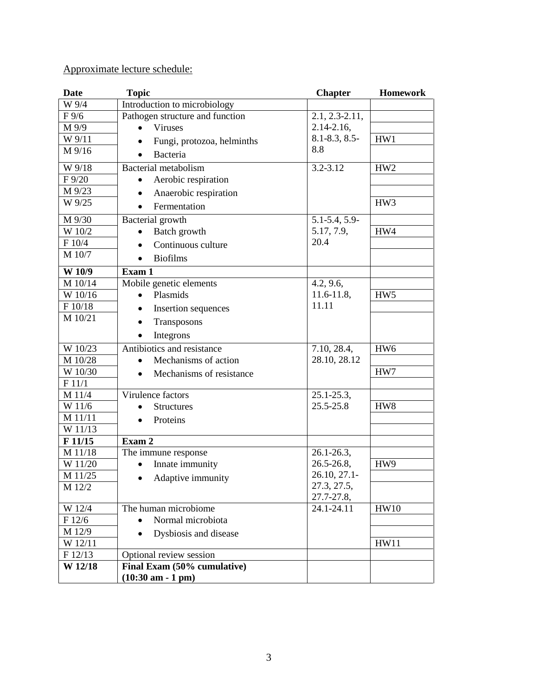## Approximate lecture schedule:

| <b>Date</b>          | <b>Topic</b>                          | <b>Chapter</b>     | <b>Homework</b> |
|----------------------|---------------------------------------|--------------------|-----------------|
| W 9/4                | Introduction to microbiology          |                    |                 |
| $F\,9/6$             | Pathogen structure and function       | $2.1, 2.3 - 2.11,$ |                 |
| M 9/9                | Viruses<br>$\bullet$                  | $2.14 - 2.16$ ,    |                 |
| W 9/11               | Fungi, protozoa, helminths            | $8.1 - 8.3, 8.5 -$ | HW1             |
| $M\frac{9}{16}$      | <b>Bacteria</b>                       | 8.8                |                 |
| W 9/18               | Bacterial metabolism                  | 3.2-3.12           | HW <sub>2</sub> |
| F 9/20               | Aerobic respiration<br>$\bullet$      |                    |                 |
| M 9/23               | Anaerobic respiration                 |                    |                 |
| W 9/25               | Fermentation                          |                    | HW <sub>3</sub> |
| M 9/30               | Bacterial growth                      | 5.1-5.4, 5.9-      |                 |
| $\overline{W}$ 10/2  | Batch growth<br>$\bullet$             | 5.17, 7.9,         | HW4             |
| $\rm F$ 10/4         | Continuous culture                    | 20.4               |                 |
| M 10/7               | <b>Biofilms</b><br>$\bullet$          |                    |                 |
| W 10/9               | Exam 1                                |                    |                 |
| M 10/14              | Mobile genetic elements               | 4.2, 9.6,          |                 |
| $\overline{W}$ 10/16 | Plasmids                              | $11.6 - 11.8$ ,    | HW <sub>5</sub> |
| F 10/18              | Insertion sequences                   | 11.11              |                 |
| M 10/21              | Transposons                           |                    |                 |
|                      | Integrons<br>$\bullet$                |                    |                 |
| W 10/23              | Antibiotics and resistance            | 7.10, 28.4,        | HW <sub>6</sub> |
| M 10/28              | Mechanisms of action                  | 28.10, 28.12       |                 |
| W 10/30              | Mechanisms of resistance<br>$\bullet$ |                    | HW7             |
| F 11/1               |                                       |                    |                 |
| M 11/4               | Virulence factors                     | $25.1 - 25.3,$     |                 |
| W 11/6               | <b>Structures</b>                     | 25.5-25.8          | HW <sub>8</sub> |
| M 11/11              | Proteins                              |                    |                 |
| W 11/13              | Exam 2                                |                    |                 |
| F11/15<br>M 11/18    | The immune response                   | $26.1 - 26.3$ ,    |                 |
| W 11/20              | Innate immunity                       | $26.5 - 26.8$ ,    | HW <sub>9</sub> |
| M 11/25              |                                       | 26.10, 27.1-       |                 |
| M 12/2               | Adaptive immunity<br>$\bullet$        | 27.3, 27.5,        |                 |
|                      |                                       | 27.7-27.8,         |                 |
| W 12/4               | The human microbiome                  | 24.1-24.11         | HW10            |
| F12/6                | Normal microbiota                     |                    |                 |
| M 12/9               | Dysbiosis and disease                 |                    |                 |
| W 12/11              |                                       |                    | <b>HW11</b>     |
| F 12/13              | Optional review session               |                    |                 |
| W 12/18              | Final Exam (50% cumulative)           |                    |                 |
|                      | $(10:30$ am - 1 pm)                   |                    |                 |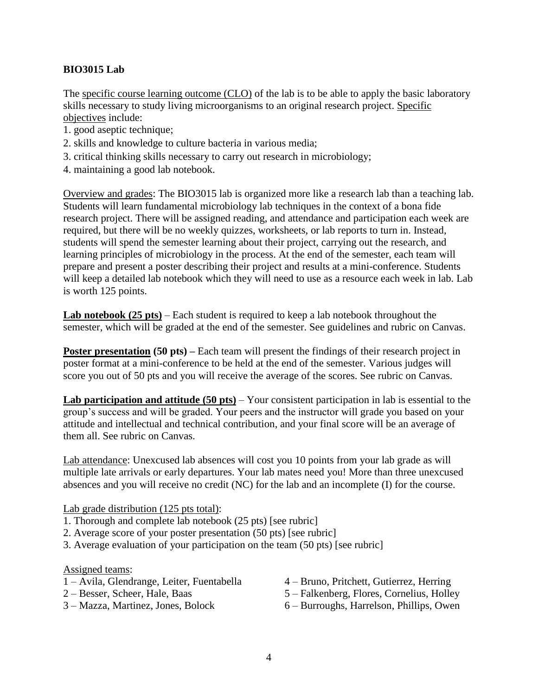## **BIO3015 Lab**

The specific course learning outcome (CLO) of the lab is to be able to apply the basic laboratory skills necessary to study living microorganisms to an original research project. Specific objectives include:

- 1. good aseptic technique;
- 2. skills and knowledge to culture bacteria in various media;
- 3. critical thinking skills necessary to carry out research in microbiology;
- 4. maintaining a good lab notebook.

Overview and grades: The BIO3015 lab is organized more like a research lab than a teaching lab. Students will learn fundamental microbiology lab techniques in the context of a bona fide research project. There will be assigned reading, and attendance and participation each week are required, but there will be no weekly quizzes, worksheets, or lab reports to turn in. Instead, students will spend the semester learning about their project, carrying out the research, and learning principles of microbiology in the process. At the end of the semester, each team will prepare and present a poster describing their project and results at a mini-conference. Students will keep a detailed lab notebook which they will need to use as a resource each week in lab. Lab is worth 125 points.

**Lab notebook (25 pts)** – Each student is required to keep a lab notebook throughout the semester, which will be graded at the end of the semester. See guidelines and rubric on Canvas.

**Poster presentation** (50 pts) – Each team will present the findings of their research project in poster format at a mini-conference to be held at the end of the semester. Various judges will score you out of 50 pts and you will receive the average of the scores. See rubric on Canvas.

**Lab participation and attitude (50 pts)** – Your consistent participation in lab is essential to the group's success and will be graded. Your peers and the instructor will grade you based on your attitude and intellectual and technical contribution, and your final score will be an average of them all. See rubric on Canvas.

Lab attendance: Unexcused lab absences will cost you 10 points from your lab grade as will multiple late arrivals or early departures. Your lab mates need you! More than three unexcused absences and you will receive no credit (NC) for the lab and an incomplete (I) for the course.

## Lab grade distribution (125 pts total):

- 1. Thorough and complete lab notebook (25 pts) [see rubric]
- 2. Average score of your poster presentation (50 pts) [see rubric]
- 3. Average evaluation of your participation on the team (50 pts) [see rubric]

#### Assigned teams:

- 1 Avila, Glendrange, Leiter, Fuentabella
- 2 Besser, Scheer, Hale, Baas
- 3 Mazza, Martinez, Jones, Bolock
- 4 Bruno, Pritchett, Gutierrez, Herring
- 5 Falkenberg, Flores, Cornelius, Holley
- 6 Burroughs, Harrelson, Phillips, Owen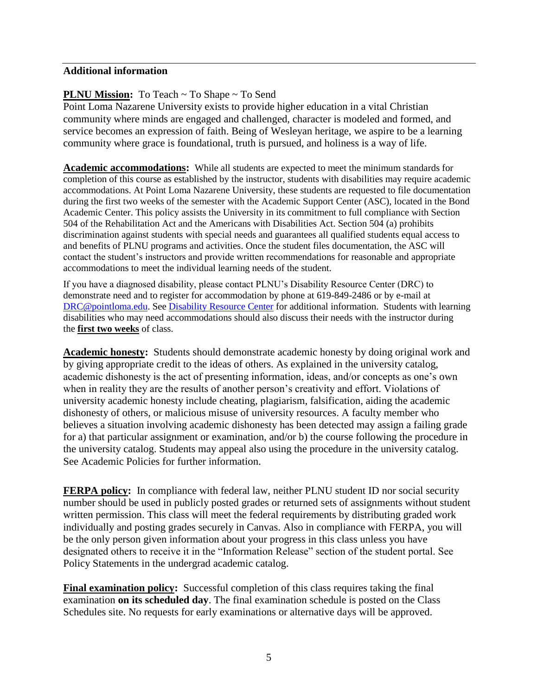## **Additional information**

## **PLNU Mission:** To Teach ~ To Shape ~ To Send

Point Loma Nazarene University exists to provide higher education in a vital Christian community where minds are engaged and challenged, character is modeled and formed, and service becomes an expression of faith. Being of Wesleyan heritage, we aspire to be a learning community where grace is foundational, truth is pursued, and holiness is a way of life.

**Academic accommodations:** While all students are expected to meet the minimum standards for completion of this course as established by the instructor, students with disabilities may require academic accommodations. At Point Loma Nazarene University, these students are requested to file documentation during the first two weeks of the semester with the Academic Support Center (ASC), located in the Bond Academic Center. This policy assists the University in its commitment to full compliance with Section 504 of the Rehabilitation Act and the Americans with Disabilities Act. Section 504 (a) prohibits discrimination against students with special needs and guarantees all qualified students equal access to and benefits of PLNU programs and activities. Once the student files documentation, the ASC will contact the student's instructors and provide written recommendations for reasonable and appropriate accommodations to meet the individual learning needs of the student.

If you have a diagnosed disability, please contact PLNU's Disability Resource Center (DRC) to demonstrate need and to register for accommodation by phone at 619-849-2486 or by e-mail at [DRC@pointloma.edu.](mailto:DRC@pointloma.edu) See [Disability Resource Center](http://www.pointloma.edu/experience/offices/administrative-offices/academic-advising-office/disability-resource-center) for additional information. Students with learning disabilities who may need accommodations should also discuss their needs with the instructor during the **first two weeks** of class.

**Academic honesty:** Students should demonstrate academic honesty by doing original work and by giving appropriate credit to the ideas of others. As explained in the university catalog, academic dishonesty is the act of presenting information, ideas, and/or concepts as one's own when in reality they are the results of another person's creativity and effort. Violations of university academic honesty include cheating, plagiarism, falsification, aiding the academic dishonesty of others, or malicious misuse of university resources. A faculty member who believes a situation involving academic dishonesty has been detected may assign a failing grade for a) that particular assignment or examination, and/or b) the course following the procedure in the university catalog. Students may appeal also using the procedure in the university catalog. See Academic Policies for further information.

**FERPA policy:** In compliance with federal law, neither PLNU student ID nor social security number should be used in publicly posted grades or returned sets of assignments without student written permission. This class will meet the federal requirements by distributing graded work individually and posting grades securely in Canvas. Also in compliance with FERPA, you will be the only person given information about your progress in this class unless you have designated others to receive it in the "Information Release" section of the student portal. See Policy Statements in the undergrad academic catalog.

**Final examination policy:** Successful completion of this class requires taking the final examination **on its scheduled day**. The final examination schedule is posted on the Class Schedules site. No requests for early examinations or alternative days will be approved.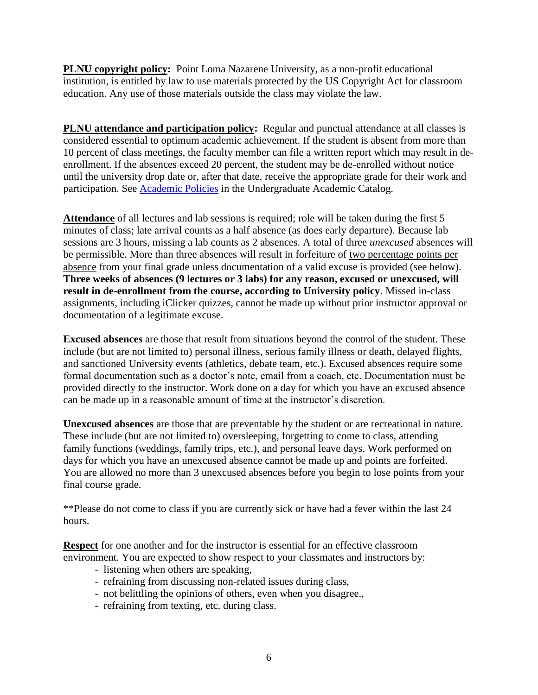**PLNU copyright policy:** Point Loma Nazarene University, as a non-profit educational institution, is entitled by law to use materials protected by the US Copyright Act for classroom education. Any use of those materials outside the class may violate the law.

**PLNU attendance and participation policy:** Regular and punctual attendance at all classes is considered essential to optimum academic achievement. If the student is absent from more than 10 percent of class meetings, the faculty member can file a written report which may result in deenrollment. If the absences exceed 20 percent, the student may be de-enrolled without notice until the university drop date or, after that date, receive the appropriate grade for their work and participation. See [Academic Policies](http://catalog.pointloma.edu/content.php?catoid=18&navoid=1278) in the Undergraduate Academic Catalog.

**Attendance** of all lectures and lab sessions is required; role will be taken during the first 5 minutes of class; late arrival counts as a half absence (as does early departure). Because lab sessions are 3 hours, missing a lab counts as 2 absences. A total of three *unexcused* absences will be permissible. More than three absences will result in forfeiture of two percentage points per absence from your final grade unless documentation of a valid excuse is provided (see below). **Three weeks of absences (9 lectures or 3 labs) for any reason, excused or unexcused, will result in de-enrollment from the course, according to University policy**. Missed in-class assignments, including iClicker quizzes, cannot be made up without prior instructor approval or documentation of a legitimate excuse.

**Excused absences** are those that result from situations beyond the control of the student. These include (but are not limited to) personal illness, serious family illness or death, delayed flights, and sanctioned University events (athletics, debate team, etc.). Excused absences require some formal documentation such as a doctor's note, email from a coach, etc. Documentation must be provided directly to the instructor. Work done on a day for which you have an excused absence can be made up in a reasonable amount of time at the instructor's discretion.

**Unexcused absences** are those that are preventable by the student or are recreational in nature. These include (but are not limited to) oversleeping, forgetting to come to class, attending family functions (weddings, family trips, etc.), and personal leave days. Work performed on days for which you have an unexcused absence cannot be made up and points are forfeited. You are allowed no more than 3 unexcused absences before you begin to lose points from your final course grade.

\*\*Please do not come to class if you are currently sick or have had a fever within the last 24 hours.

**Respect** for one another and for the instructor is essential for an effective classroom environment. You are expected to show respect to your classmates and instructors by:

- listening when others are speaking,
- refraining from discussing non-related issues during class,
- not belittling the opinions of others, even when you disagree.,
- refraining from texting, etc. during class.